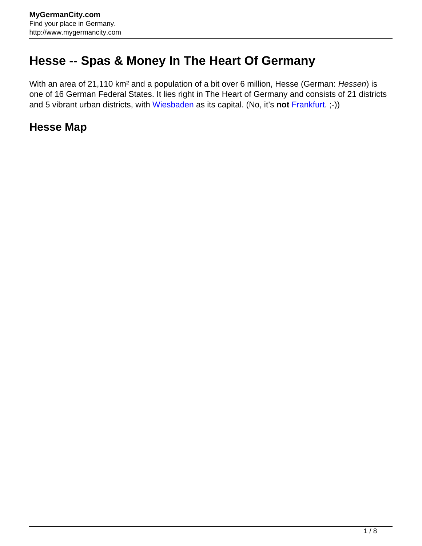## **Hesse -- Spas & Money In The Heart Of Germany**

With an area of 21,110 km<sup>2</sup> and a population of a bit over 6 million, Hesse (German: Hessen) is one of 16 German Federal States. It lies right in The Heart of Germany and consists of 21 districts and 5 vibrant urban districts, with [Wiesbaden](http://www.mygermancity.com/wiesbaden) as its capital. (No, it's **not** [Frankfurt](http://www.mygermancity.com/frankfurt). ;-))

## **Hesse Map**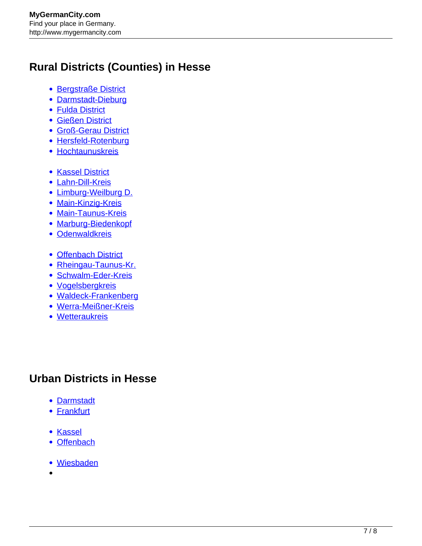## **Rural Districts (Counties) in Hesse**

- **[Bergstraße District](http://www.mygermancity.com/bergstrasse-district)**
- [Darmstadt-Dieburg](http://www.mygermancity.com/darmstadt-dieburg-district)
- [Fulda District](http://www.mygermancity.com/fulda-district)
- [Gießen District](http://www.mygermancity.com/giessen-district)
- [Groß-Gerau District](http://www.mygermancity.com/gross-gerau-district)
- [Hersfeld-Rotenburg](http://www.mygermancity.com/hersfeld-rotenburg-district)
- [Hochtaunuskreis](http://www.mygermancity.com/hochtaunuskreis)
- [Kassel District](http://www.mygermancity.com/kassel-district)
- [Lahn-Dill-Kreis](http://www.mygermancity.com/lahn-dill-kreis)
- [Limburg-Weilburg D.](http://www.mygermancity.com/limburg-weilburg-district)
- [Main-Kinzig-Kreis](http://www.mygermancity.com/main-kinzig-kreis)
- [Main-Taunus-Kreis](http://www.mygermancity.com/main-taunus-kreis)
- [Marburg-Biedenkopf](http://www.mygermancity.com/marburg-biedenkopf-district)
- [Odenwaldkreis](http://www.mygermancity.com/odenwaldkreis)
- [Offenbach District](http://www.mygermancity.com/offenbach-district)
- [Rheingau-Taunus-Kr.](http://www.mygermancity.com/rheingau-taunus-kreis)
- [Schwalm-Eder-Kreis](http://www.mygermancity.com/schwalm-eder-kreis)
- [Vogelsbergkreis](http://www.mygermancity.com/vogelsbergkreis)
- [Waldeck-Frankenberg](http://www.mygermancity.com/waldeck-frankenberg-district)
- [Werra-Meißner-Kreis](http://www.mygermancity.com/werra-meissner-kreis)
- [Wetteraukreis](http://www.mygermancity.com/wetteraukreis)

## **Urban Districts in Hesse**

- [Darmstadt](http://www.mygermancity.com/darmstadt)
- [Frankfurt](http://www.mygermancity.com/frankfurt)
- [Kassel](http://www.mygermancity.com/kassel)
- [Offenbach](http://www.mygermancity.com/offenbach)
- [Wiesbaden](http://www.mygermancity.com/wiesbaden)
-